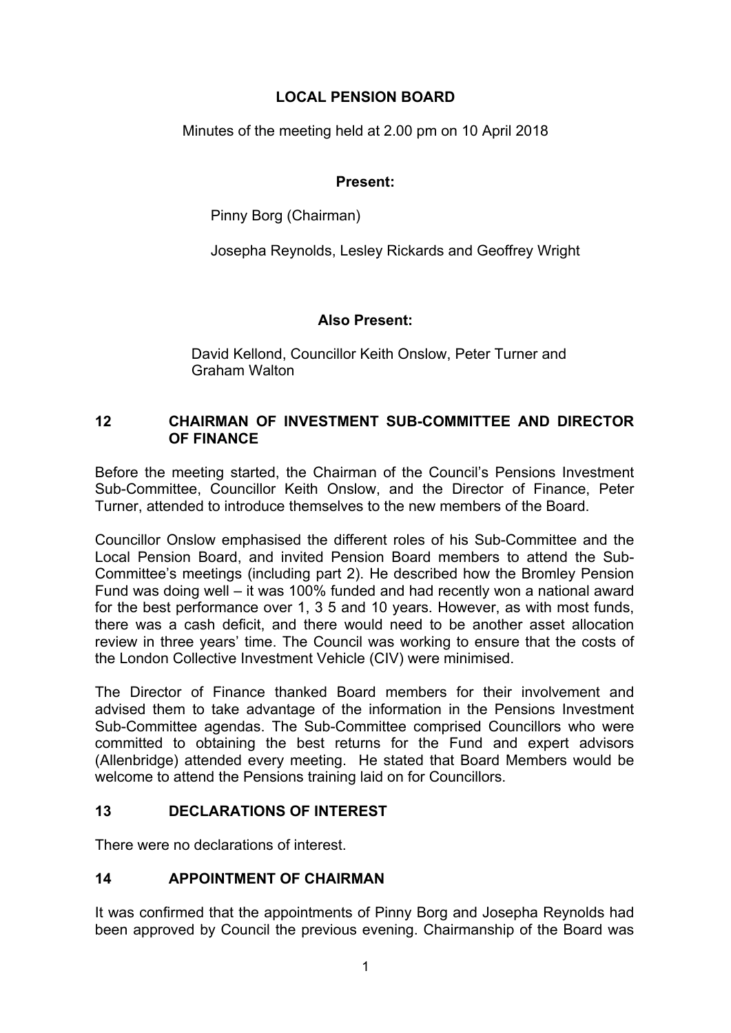## **LOCAL PENSION BOARD**

Minutes of the meeting held at 2.00 pm on 10 April 2018

## **Present:**

Pinny Borg (Chairman)

Josepha Reynolds, Lesley Rickards and Geoffrey Wright

# **Also Present:**

David Kellond, Councillor Keith Onslow, Peter Turner and Graham Walton

## **12 CHAIRMAN OF INVESTMENT SUB-COMMITTEE AND DIRECTOR OF FINANCE**

Before the meeting started, the Chairman of the Council's Pensions Investment Sub-Committee, Councillor Keith Onslow, and the Director of Finance, Peter Turner, attended to introduce themselves to the new members of the Board.

Councillor Onslow emphasised the different roles of his Sub-Committee and the Local Pension Board, and invited Pension Board members to attend the Sub-Committee's meetings (including part 2). He described how the Bromley Pension Fund was doing well – it was 100% funded and had recently won a national award for the best performance over 1, 3 5 and 10 years. However, as with most funds, there was a cash deficit, and there would need to be another asset allocation review in three years' time. The Council was working to ensure that the costs of the London Collective Investment Vehicle (CIV) were minimised.

The Director of Finance thanked Board members for their involvement and advised them to take advantage of the information in the Pensions Investment Sub-Committee agendas. The Sub-Committee comprised Councillors who were committed to obtaining the best returns for the Fund and expert advisors (Allenbridge) attended every meeting. He stated that Board Members would be welcome to attend the Pensions training laid on for Councillors.

# **13 DECLARATIONS OF INTEREST**

There were no declarations of interest.

# **14 APPOINTMENT OF CHAIRMAN**

It was confirmed that the appointments of Pinny Borg and Josepha Reynolds had been approved by Council the previous evening. Chairmanship of the Board was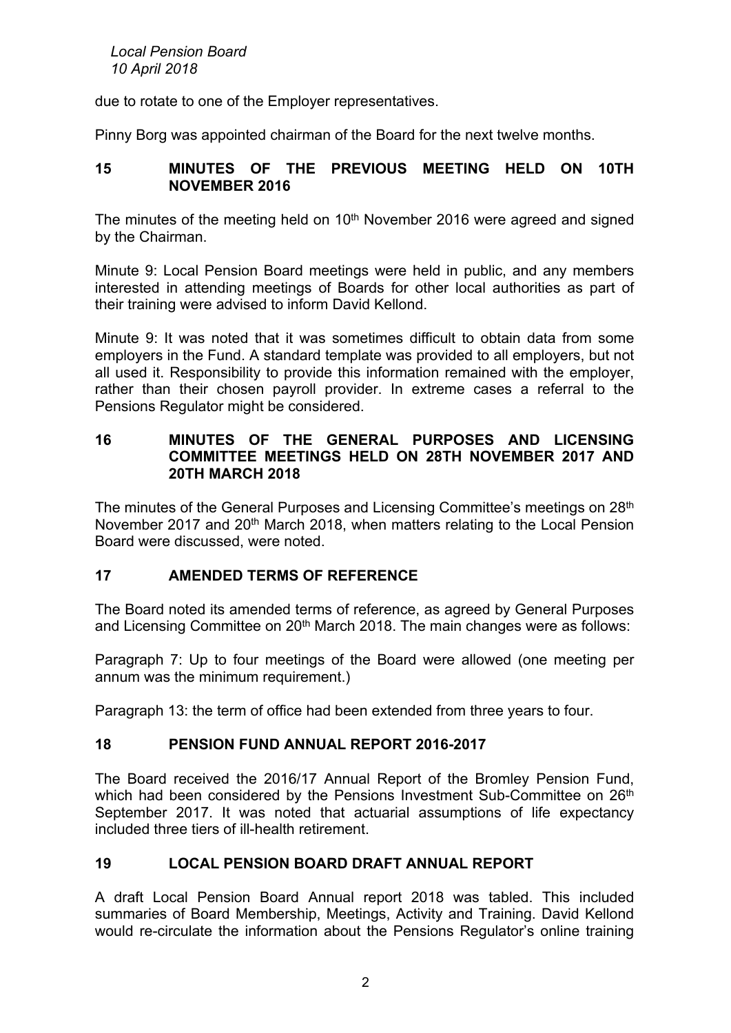*Local Pension Board 10 April 2018*

due to rotate to one of the Employer representatives.

Pinny Borg was appointed chairman of the Board for the next twelve months.

#### **15 MINUTES OF THE PREVIOUS MEETING HELD ON 10TH NOVEMBER 2016**

The minutes of the meeting held on 10<sup>th</sup> November 2016 were agreed and signed by the Chairman.

Minute 9: Local Pension Board meetings were held in public, and any members interested in attending meetings of Boards for other local authorities as part of their training were advised to inform David Kellond.

Minute 9: It was noted that it was sometimes difficult to obtain data from some employers in the Fund. A standard template was provided to all employers, but not all used it. Responsibility to provide this information remained with the employer, rather than their chosen payroll provider. In extreme cases a referral to the Pensions Regulator might be considered.

#### **16 MINUTES OF THE GENERAL PURPOSES AND LICENSING COMMITTEE MEETINGS HELD ON 28TH NOVEMBER 2017 AND 20TH MARCH 2018**

The minutes of the General Purposes and Licensing Committee's meetings on 28th November 2017 and 20<sup>th</sup> March 2018, when matters relating to the Local Pension Board were discussed, were noted.

## **17 AMENDED TERMS OF REFERENCE**

The Board noted its amended terms of reference, as agreed by General Purposes and Licensing Committee on 20<sup>th</sup> March 2018. The main changes were as follows:

Paragraph 7: Up to four meetings of the Board were allowed (one meeting per annum was the minimum requirement.)

Paragraph 13: the term of office had been extended from three years to four.

#### **18 PENSION FUND ANNUAL REPORT 2016-2017**

The Board received the 2016/17 Annual Report of the Bromley Pension Fund, which had been considered by the Pensions Investment Sub-Committee on 26<sup>th</sup> September 2017. It was noted that actuarial assumptions of life expectancy included three tiers of ill-health retirement.

#### **19 LOCAL PENSION BOARD DRAFT ANNUAL REPORT**

A draft Local Pension Board Annual report 2018 was tabled. This included summaries of Board Membership, Meetings, Activity and Training. David Kellond would re-circulate the information about the Pensions Regulator's online training